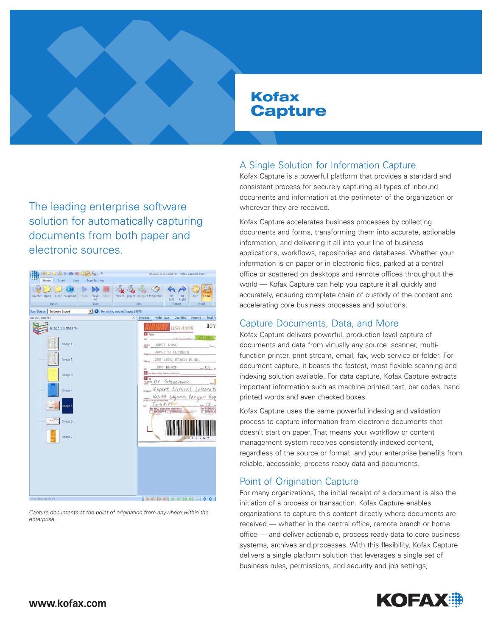# Kofax **Capture**

The leading enterprise software solution for automatically capturing documents from both paper and electronic sources.



Capture documents at the point of origination from anywhere within the enterprise.

# A Single Solution for Information Capture

Kofax Capture is a powerful platform that provides a standard and consistent process for securely capturing all types of inbound documents and information at the perimeter of the organization or wherever they are received.

Kofax Capture accelerates business processes by collecting documents and forms, transforming them into accurate, actionable information, and delivering it all into your line of business applications, workflows, repositories and databases. Whether your information is on paper or in electronic files, parked at a central office or scattered on desktops and remote offices throughout the world — Kofax Capture can help you capture it all quickly and accurately, ensuring complete chain of custody of the content and accelerating core business processes and solutions.

## Capture Documents, Data, and More

Kofax Capture delivers powerful, production level capture of documents and data from virtually any source: scanner, multifunction printer, print stream, email, fax, web service or folder. For document capture, it boasts the fastest, most flexible scanning and indexing solution available. For data capture, Kofax Capture extracts important information such as machine printed text, bar codes, hand printed words and even checked boxes.

Kofax Capture uses the same powerful indexing and validation process to capture information from electronic documents that doesn't start on paper. That means your workflow or content management system receives consistently indexed content, regardless of the source or format, and your enterprise benefits from reliable, accessible, process ready data and documents.

# Point of Origination Capture

For many organizations, the initial receipt of a document is also the initiation of a process or transaction. Kofax Capture enables organizations to capture this content directly where documents are received — whether in the central office, remote branch or home office — and deliver actionable, process ready data to core business systems, archives and processes. With this flexibility, Kofax Capture delivers a single platform solution that leverages a single set of business rules, permissions, and security and job settings,